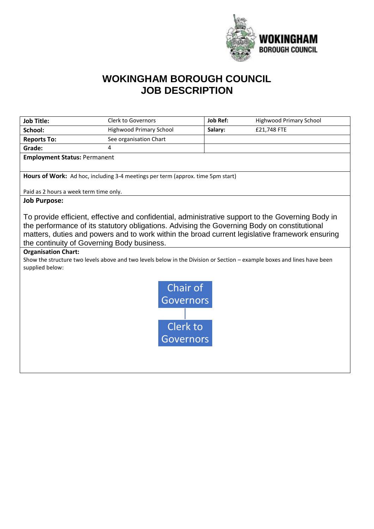

## **WOKINGHAM BOROUGH COUNCIL JOB DESCRIPTION**

| <b>Job Title:</b>                                                                                                                                                                                                                                                                                                                                                                                                                                                                                         | <b>Clerk to Governors</b>      | <b>Job Ref:</b> | <b>Highwood Primary School</b> |  |  |
|-----------------------------------------------------------------------------------------------------------------------------------------------------------------------------------------------------------------------------------------------------------------------------------------------------------------------------------------------------------------------------------------------------------------------------------------------------------------------------------------------------------|--------------------------------|-----------------|--------------------------------|--|--|
| School:                                                                                                                                                                                                                                                                                                                                                                                                                                                                                                   | <b>Highwood Primary School</b> | Salary:         | £21,748 FTE                    |  |  |
| <b>Reports To:</b>                                                                                                                                                                                                                                                                                                                                                                                                                                                                                        | See organisation Chart         |                 |                                |  |  |
| Grade:                                                                                                                                                                                                                                                                                                                                                                                                                                                                                                    | 4                              |                 |                                |  |  |
| <b>Employment Status: Permanent</b>                                                                                                                                                                                                                                                                                                                                                                                                                                                                       |                                |                 |                                |  |  |
| Hours of Work: Ad hoc, including 3-4 meetings per term (approx. time 5pm start)                                                                                                                                                                                                                                                                                                                                                                                                                           |                                |                 |                                |  |  |
| Paid as 2 hours a week term time only.                                                                                                                                                                                                                                                                                                                                                                                                                                                                    |                                |                 |                                |  |  |
| <b>Job Purpose:</b>                                                                                                                                                                                                                                                                                                                                                                                                                                                                                       |                                |                 |                                |  |  |
| To provide efficient, effective and confidential, administrative support to the Governing Body in<br>the performance of its statutory obligations. Advising the Governing Body on constitutional<br>matters, duties and powers and to work within the broad current legislative framework ensuring<br>the continuity of Governing Body business.<br><b>Organisation Chart:</b><br>Show the structure two levels above and two levels below in the Division or Section - example boxes and lines have been |                                |                 |                                |  |  |
| supplied below:                                                                                                                                                                                                                                                                                                                                                                                                                                                                                           |                                |                 |                                |  |  |
| Chair of<br><b>Governors</b><br>Clerk to<br><b>Governors</b>                                                                                                                                                                                                                                                                                                                                                                                                                                              |                                |                 |                                |  |  |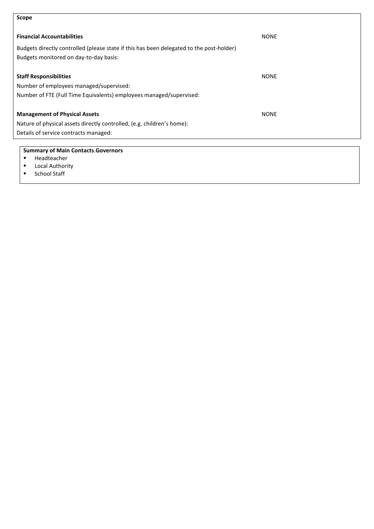## **Summary of Main Contacts**.**Governors**  ▪ Headteacher ■ Local Authority<br>■ School Staff **Scope Financial Accountabilities** NONE Budgets directly controlled (please state if this has been delegated to the post-holder) Budgets monitored on day-to-day basis: **Staff Responsibilities** NONE Number of employees managed/supervised: Number of FTE (Full Time Equivalents) employees managed/supervised: **Management of Physical Assets** NONE Nature of physical assets directly controlled, (e.g. children's home): Details of service contracts managed:

School Staff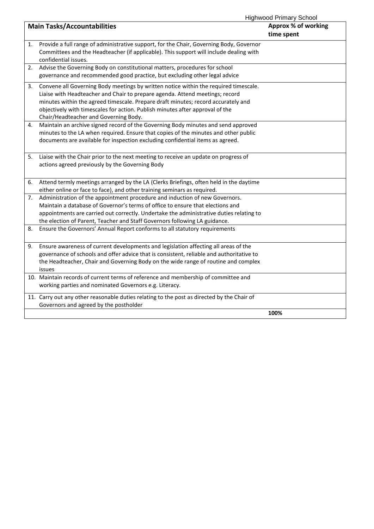Highwood Primary School

| <b>ITIGHTWOOD FTIMALY SUITOOL</b> |                                                                                                                                                                                                                                                                                                                                                                                     |                                   |  |  |
|-----------------------------------|-------------------------------------------------------------------------------------------------------------------------------------------------------------------------------------------------------------------------------------------------------------------------------------------------------------------------------------------------------------------------------------|-----------------------------------|--|--|
|                                   | <b>Main Tasks/Accountabilities</b>                                                                                                                                                                                                                                                                                                                                                  | Approx % of working<br>time spent |  |  |
| 1.                                | Provide a full range of administrative support, for the Chair, Governing Body, Governor<br>Committees and the Headteacher (if applicable). This support will include dealing with<br>confidential issues.                                                                                                                                                                           |                                   |  |  |
| 2.                                | Advise the Governing Body on constitutional matters, procedures for school<br>governance and recommended good practice, but excluding other legal advice                                                                                                                                                                                                                            |                                   |  |  |
| 3.                                | Convene all Governing Body meetings by written notice within the required timescale.<br>Liaise with Headteacher and Chair to prepare agenda. Attend meetings; record<br>minutes within the agreed timescale. Prepare draft minutes; record accurately and<br>objectively with timescales for action. Publish minutes after approval of the<br>Chair/Headteacher and Governing Body. |                                   |  |  |
| 4.                                | Maintain an archive signed record of the Governing Body minutes and send approved<br>minutes to the LA when required. Ensure that copies of the minutes and other public<br>documents are available for inspection excluding confidential items as agreed.                                                                                                                          |                                   |  |  |
| 5.                                | Liaise with the Chair prior to the next meeting to receive an update on progress of<br>actions agreed previously by the Governing Body                                                                                                                                                                                                                                              |                                   |  |  |
| 6.                                | Attend termly meetings arranged by the LA (Clerks Briefings, often held in the daytime<br>either online or face to face), and other training seminars as required.                                                                                                                                                                                                                  |                                   |  |  |
| 7.                                | Administration of the appointment procedure and induction of new Governors.<br>Maintain a database of Governor's terms of office to ensure that elections and<br>appointments are carried out correctly. Undertake the administrative duties relating to<br>the election of Parent, Teacher and Staff Governors following LA guidance.                                              |                                   |  |  |
| 8.                                | Ensure the Governors' Annual Report conforms to all statutory requirements                                                                                                                                                                                                                                                                                                          |                                   |  |  |
| 9.                                | Ensure awareness of current developments and legislation affecting all areas of the<br>governance of schools and offer advice that is consistent, reliable and authoritative to<br>the Headteacher, Chair and Governing Body on the wide range of routine and complex<br>issues                                                                                                     |                                   |  |  |
|                                   | 10. Maintain records of current terms of reference and membership of committee and<br>working parties and nominated Governors e.g. Literacy.                                                                                                                                                                                                                                        |                                   |  |  |
|                                   | 11. Carry out any other reasonable duties relating to the post as directed by the Chair of<br>Governors and agreed by the postholder                                                                                                                                                                                                                                                |                                   |  |  |
|                                   |                                                                                                                                                                                                                                                                                                                                                                                     | 100%                              |  |  |